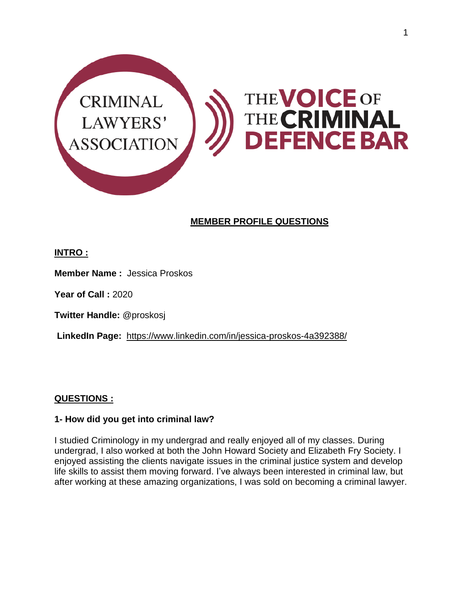

# **MEMBER PROFILE QUESTIONS**

## **INTRO :**

**Member Name :** Jessica Proskos

**Year of Call :** 2020

**Twitter Handle:** @proskosj

**LinkedIn Page:** <https://www.linkedin.com/in/jessica-proskos-4a392388/>

### **QUESTIONS :**

### **1- How did you get into criminal law?**

I studied Criminology in my undergrad and really enjoyed all of my classes. During undergrad, I also worked at both the John Howard Society and Elizabeth Fry Society. I enjoyed assisting the clients navigate issues in the criminal justice system and develop life skills to assist them moving forward. I've always been interested in criminal law, but after working at these amazing organizations, I was sold on becoming a criminal lawyer.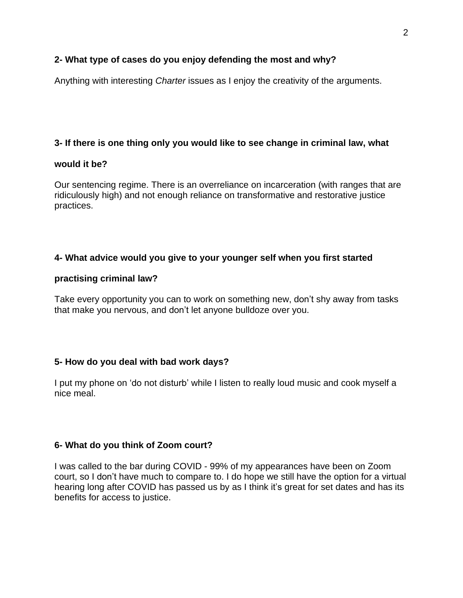### **2- What type of cases do you enjoy defending the most and why?**

Anything with interesting *Charter* issues as I enjoy the creativity of the arguments.

### **3- If there is one thing only you would like to see change in criminal law, what**

#### **would it be?**

Our sentencing regime. There is an overreliance on incarceration (with ranges that are ridiculously high) and not enough reliance on transformative and restorative justice practices.

### **4- What advice would you give to your younger self when you first started**

### **practising criminal law?**

Take every opportunity you can to work on something new, don't shy away from tasks that make you nervous, and don't let anyone bulldoze over you.

### **5- How do you deal with bad work days?**

I put my phone on 'do not disturb' while I listen to really loud music and cook myself a nice meal.

### **6- What do you think of Zoom court?**

I was called to the bar during COVID - 99% of my appearances have been on Zoom court, so I don't have much to compare to. I do hope we still have the option for a virtual hearing long after COVID has passed us by as I think it's great for set dates and has its benefits for access to justice.